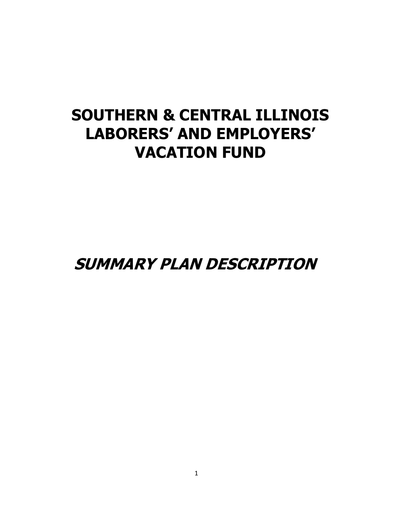# **SOUTHERN & CENTRAL ILLINOIS LABORERS' AND EMPLOYERS' VACATION FUND**

**SUMMARY PLAN DESCRIPTION**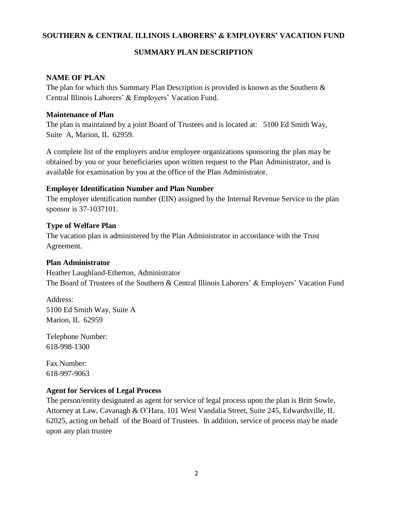## **SOUTHERN & CENTRAL ILLINOIS LABORERS' & EMPLOYERS' VACATION FUND**

#### **SUMMARY PLAN DESCRIPTION**

#### **NAME OF PLAN**

The plan for which this Summary Plan Description is provided is known as the Southern  $\&$ Central Illinois Laborers' & Employers' Vacation Fund.

#### **Maintenance of Plan**

The plan is maintained by a joint Board of Trustees and is located at: 5100 Ed Smith Way, Suite A, Marion, IL 62959.

A complete list of the employers and/or employee organizations sponsoring the plan may be obtained by you or your beneficiaries upon written request to the Plan Administrator, and is available for examination by you at the office of the Plan Administrator.

## **Employer Identification Number and Plan Number**

The employer identification number (EIN) assigned by the Internal Revenue Service to the plan sponsor is 37-1037101.

## **Type of Welfare Plan**

The vacation plan is administered by the Plan Administrator in accordance with the Trust Agreement.

#### **Plan Administrator**

Heather Laughland-Etherton, Administrator The Board of Trustees of the Southern & Central Illinois Laborers' & Employers' Vacation Fund

Address: 5100 Ed Smith Way, Suite A Marion, IL 62959

Telephone Number: 618-998-1300

Fax Number: 618-997-9063

# **Agent for Services of Legal Process**

The person/entity designated as agent for service of legal process upon the plan is Britt Sowle, Attorney at Law, Cavanagh & O'Hara, 101 West Vandalia Street, Suite 245, Edwardsville, IL 62025, acting on behalf of the Board of Trustees. In addition, service of process may be made upon any plan trustee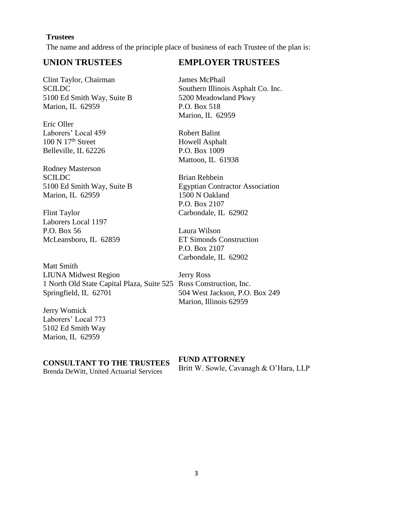#### **Trustees**

The name and address of the principle place of business of each Trustee of the plan is:

# **UNION TRUSTEES**

Clint Taylor, Chairman **SCILDC** 5100 Ed Smith Way, Suite B Marion, IL 62959

Eric Oller Laborers' Local 459  $100$  N  $17<sup>th</sup>$  Street Belleville, IL 62226

Rodney Masterson **SCILDC** 5100 Ed Smith Way, Suite B Marion, IL 62959

Flint Taylor Laborers Local 1197 P.O. Box 56 McLeansboro, IL 62859

Matt Smith LIUNA Midwest Region 1 North Old State Capital Plaza, Suite 525 Ross Construction, Inc. Springfield, IL 62701

Jerry Womick Laborers' Local 773 5102 Ed Smith Way Marion, IL 62959

#### **CONSULTANT TO THE TRUSTEES**

Brenda DeWitt, United Actuarial Services

# **EMPLOYER TRUSTEES**

James McPhail Southern Illinois Asphalt Co. Inc. 5200 Meadowland Pkwy P.O. Box 518 Marion, IL 62959

Robert Balint Howell Asphalt P.O. Box 1009 Mattoon, IL 61938

Brian Rehbein Egyptian Contractor Association 1500 N Oakland P.O. Box 2107 Carbondale, IL 62902

Laura Wilson ET Simonds Construction P.O. Box 2107 Carbondale, IL 62902

Jerry Ross 504 West Jackson, P.O. Box 249 Marion, Illinois 62959

#### **FUND ATTORNEY**

Britt W. Sowle, Cavanagh & O'Hara, LLP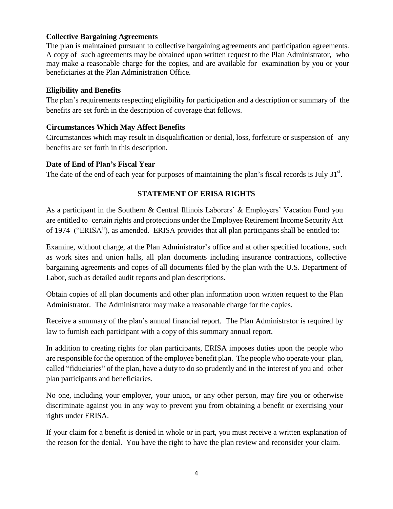## **Collective Bargaining Agreements**

The plan is maintained pursuant to collective bargaining agreements and participation agreements. A copy of such agreements may be obtained upon written request to the Plan Administrator, who may make a reasonable charge for the copies, and are available for examination by you or your beneficiaries at the Plan Administration Office.

## **Eligibility and Benefits**

The plan's requirements respecting eligibility for participation and a description or summary of the benefits are set forth in the description of coverage that follows.

## **Circumstances Which May Affect Benefits**

Circumstances which may result in disqualification or denial, loss, forfeiture or suspension of any benefits are set forth in this description.

## **Date of End of Plan's Fiscal Year**

The date of the end of each year for purposes of maintaining the plan's fiscal records is July  $31<sup>st</sup>$ .

# **STATEMENT OF ERISA RIGHTS**

As a participant in the Southern & Central Illinois Laborers' & Employers' Vacation Fund you are entitled to certain rights and protections under the Employee Retirement Income Security Act of 1974 ("ERISA"), as amended. ERISA provides that all plan participants shall be entitled to:

Examine, without charge, at the Plan Administrator's office and at other specified locations, such as work sites and union halls, all plan documents including insurance contractions, collective bargaining agreements and copes of all documents filed by the plan with the U.S. Department of Labor, such as detailed audit reports and plan descriptions.

Obtain copies of all plan documents and other plan information upon written request to the Plan Administrator. The Administrator may make a reasonable charge for the copies.

Receive a summary of the plan's annual financial report. The Plan Administrator is required by law to furnish each participant with a copy of this summary annual report.

In addition to creating rights for plan participants, ERISA imposes duties upon the people who are responsible for the operation of the employee benefit plan. The people who operate your plan, called "fiduciaries" of the plan, have a duty to do so prudently and in the interest of you and other plan participants and beneficiaries.

No one, including your employer, your union, or any other person, may fire you or otherwise discriminate against you in any way to prevent you from obtaining a benefit or exercising your rights under ERISA.

If your claim for a benefit is denied in whole or in part, you must receive a written explanation of the reason for the denial. You have the right to have the plan review and reconsider your claim.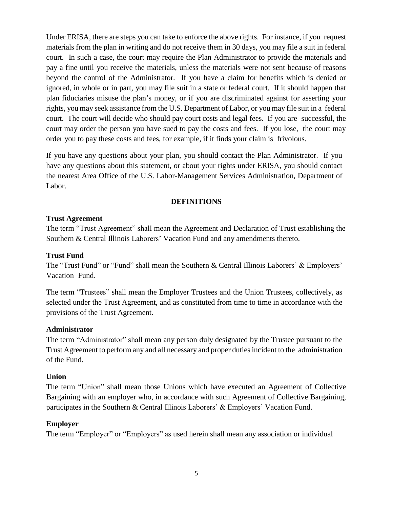Under ERISA, there are steps you can take to enforce the above rights. For instance, if you request materials from the plan in writing and do not receive them in 30 days, you may file a suit in federal court. In such a case, the court may require the Plan Administrator to provide the materials and pay a fine until you receive the materials, unless the materials were not sent because of reasons beyond the control of the Administrator. If you have a claim for benefits which is denied or ignored, in whole or in part, you may file suit in a state or federal court. If it should happen that plan fiduciaries misuse the plan's money, or if you are discriminated against for asserting your rights, you may seek assistance from the U.S. Department of Labor, or you may file suit in a federal court. The court will decide who should pay court costs and legal fees. If you are successful, the court may order the person you have sued to pay the costs and fees. If you lose, the court may order you to pay these costs and fees, for example, if it finds your claim is frivolous.

If you have any questions about your plan, you should contact the Plan Administrator. If you have any questions about this statement, or about your rights under ERISA, you should contact the nearest Area Office of the U.S. Labor-Management Services Administration, Department of Labor.

## **DEFINITIONS**

#### **Trust Agreement**

The term "Trust Agreement" shall mean the Agreement and Declaration of Trust establishing the Southern & Central Illinois Laborers' Vacation Fund and any amendments thereto.

#### **Trust Fund**

The "Trust Fund" or "Fund" shall mean the Southern & Central Illinois Laborers' & Employers' Vacation Fund.

The term "Trustees" shall mean the Employer Trustees and the Union Trustees, collectively, as selected under the Trust Agreement, and as constituted from time to time in accordance with the provisions of the Trust Agreement.

#### **Administrator**

The term "Administrator" shall mean any person duly designated by the Trustee pursuant to the Trust Agreement to perform any and all necessary and proper dutiesincident to the administration of the Fund.

#### **Union**

The term "Union" shall mean those Unions which have executed an Agreement of Collective Bargaining with an employer who, in accordance with such Agreement of Collective Bargaining, participates in the Southern & Central Illinois Laborers' & Employers' Vacation Fund.

#### **Employer**

The term "Employer" or "Employers" as used herein shall mean any association or individual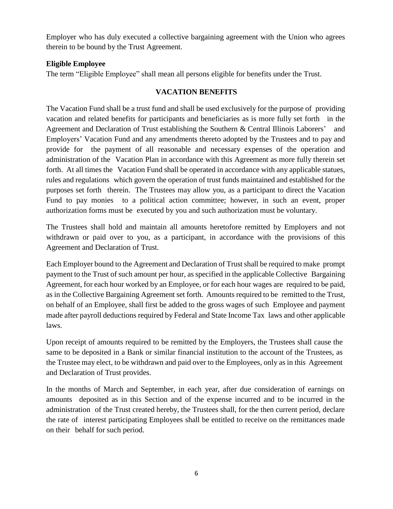Employer who has duly executed a collective bargaining agreement with the Union who agrees therein to be bound by the Trust Agreement.

# **Eligible Employee**

The term "Eligible Employee" shall mean all persons eligible for benefits under the Trust.

# **VACATION BENEFITS**

The Vacation Fund shall be a trust fund and shall be used exclusively for the purpose of providing vacation and related benefits for participants and beneficiaries as is more fully set forth in the Agreement and Declaration of Trust establishing the Southern & Central Illinois Laborers' and Employers' Vacation Fund and any amendments thereto adopted by the Trustees and to pay and provide for the payment of all reasonable and necessary expenses of the operation and administration of the Vacation Plan in accordance with this Agreement as more fully therein set forth. At all times the Vacation Fund shall be operated in accordance with any applicable statues, rules and regulations which govern the operation of trust funds maintained and established for the purposes set forth therein. The Trustees may allow you, as a participant to direct the Vacation Fund to pay monies to a political action committee; however, in such an event, proper authorization forms must be executed by you and such authorization must be voluntary.

The Trustees shall hold and maintain all amounts heretofore remitted by Employers and not withdrawn or paid over to you, as a participant, in accordance with the provisions of this Agreement and Declaration of Trust.

Each Employer bound to the Agreement and Declaration of Trust shall be required to make prompt payment to the Trust of such amount per hour, as specified in the applicable Collective Bargaining Agreement, for each hour worked by an Employee, or for each hour wages are required to be paid, as in the Collective Bargaining Agreement set forth. Amounts required to be remitted to the Trust, on behalf of an Employee, shall first be added to the gross wages of such Employee and payment made after payroll deductions required by Federal and State Income Tax laws and other applicable laws.

Upon receipt of amounts required to be remitted by the Employers, the Trustees shall cause the same to be deposited in a Bank or similar financial institution to the account of the Trustees, as the Trustee may elect, to be withdrawn and paid over to the Employees, only as in this Agreement and Declaration of Trust provides.

In the months of March and September, in each year, after due consideration of earnings on amounts deposited as in this Section and of the expense incurred and to be incurred in the administration of the Trust created hereby, the Trustees shall, for the then current period, declare the rate of interest participating Employees shall be entitled to receive on the remittances made on their behalf for such period.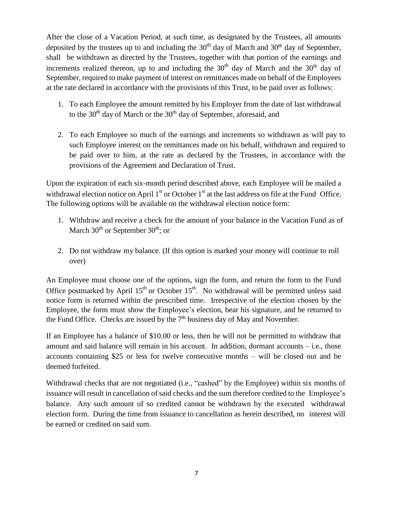After the close of a Vacation Period, at such time, as designated by the Trustees, all amounts deposited by the trustees up to and including the  $30<sup>th</sup>$  day of March and  $30<sup>th</sup>$  day of September, shall be withdrawn as directed by the Trustees, together with that portion of the earnings and increments realized thereon, up to and including the  $30<sup>th</sup>$  day of March and the  $30<sup>th</sup>$  day of September, required to make payment of interest on remittances made on behalf of the Employees at the rate declared in accordance with the provisions of this Trust, to be paid over as follows:

- 1. To each Employee the amount remitted by his Employer from the date of last withdrawal to the  $30<sup>th</sup>$  day of March or the  $30<sup>th</sup>$  day of September, aforesaid, and
- 2. To each Employee so much of the earnings and increments so withdrawn as will pay to such Employee interest on the remittances made on his behalf, withdrawn and required to be paid over to him, at the rate as declared by the Trustees, in accordance with the provisions of the Agreement and Declaration of Trust.

Upon the expiration of each six-month period described above, each Employee will be mailed a withdrawal election notice on April  $1<sup>st</sup>$  or October  $1<sup>st</sup>$  at the last address on file at the Fund Office. The following options will be available on the withdrawal election notice form:

- 1. Withdraw and receive a check for the amount of your balance in the Vacation Fund as of March  $30^{th}$  or September  $30^{th}$ ; or
- 2. Do not withdraw my balance. (If this option is marked your money will continue to roll over)

An Employee must choose one of the options, sign the form, and return the form to the Fund Office postmarked by April  $15<sup>th</sup>$  or October  $15<sup>th</sup>$ . No withdrawal will be permitted unless said notice form is returned within the prescribed time. Irrespective of the election chosen by the Employee, the form must show the Employee's election, bear his signature, and be returned to the Fund Office. Checks are issued by the  $7<sup>th</sup>$  business day of May and November.

If an Employee has a balance of \$10.00 or less, then he will not be permitted to withdraw that amount and said balance will remain in his account. In addition, dormant accounts – i.e., those accounts containing \$25 or less for twelve consecutive months – will be closed out and be deemed forfeited.

Withdrawal checks that are not negotiated (i.e., "cashed" by the Employee) within six months of issuance will result in cancellation of said checks and the sum therefore credited to the Employee's balance. Any such amount of so credited cannot be withdrawn by the executed withdrawal election form. During the time from issuance to cancellation as herein described, no interest will be earned or credited on said sum.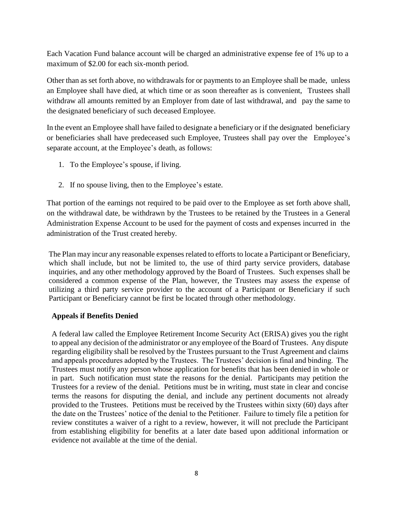Each Vacation Fund balance account will be charged an administrative expense fee of 1% up to a maximum of \$2.00 for each six-month period.

Other than as set forth above, no withdrawals for or payments to an Employee shall be made, unless an Employee shall have died, at which time or as soon thereafter as is convenient, Trustees shall withdraw all amounts remitted by an Employer from date of last withdrawal, and pay the same to the designated beneficiary of such deceased Employee.

In the event an Employee shall have failed to designate a beneficiary or if the designated beneficiary or beneficiaries shall have predeceased such Employee, Trustees shall pay over the Employee's separate account, at the Employee's death, as follows:

- 1. To the Employee's spouse, if living.
- 2. If no spouse living, then to the Employee's estate.

That portion of the earnings not required to be paid over to the Employee as set forth above shall, on the withdrawal date, be withdrawn by the Trustees to be retained by the Trustees in a General Administration Expense Account to be used for the payment of costs and expenses incurred in the administration of the Trust created hereby.

The Plan may incur any reasonable expenses related to efforts to locate a Participant or Beneficiary, which shall include, but not be limited to, the use of third party service providers, database inquiries, and any other methodology approved by the Board of Trustees. Such expenses shall be considered a common expense of the Plan, however, the Trustees may assess the expense of utilizing a third party service provider to the account of a Participant or Beneficiary if such Participant or Beneficiary cannot be first be located through other methodology.

# **Appeals if Benefits Denied**

A federal law called the Employee Retirement Income Security Act (ERISA) gives you the right to appeal any decision of the administrator or any employee of the Board of Trustees. Any dispute regarding eligibility shall be resolved by the Trustees pursuant to the Trust Agreement and claims and appeals procedures adopted by the Trustees. The Trustees' decision is final and binding. The Trustees must notify any person whose application for benefits that has been denied in whole or in part. Such notification must state the reasons for the denial. Participants may petition the Trustees for a review of the denial. Petitions must be in writing, must state in clear and concise terms the reasons for disputing the denial, and include any pertinent documents not already provided to the Trustees. Petitions must be received by the Trustees within sixty (60) days after the date on the Trustees' notice of the denial to the Petitioner. Failure to timely file a petition for review constitutes a waiver of a right to a review, however, it will not preclude the Participant from establishing eligibility for benefits at a later date based upon additional information or evidence not available at the time of the denial.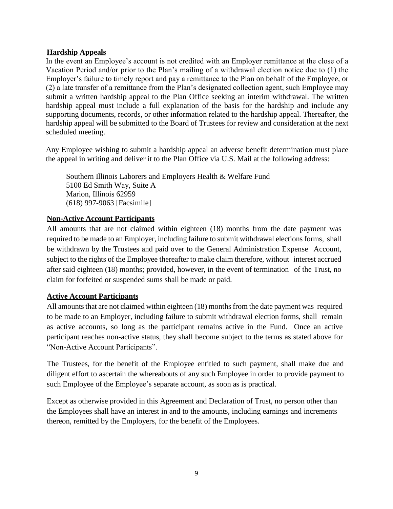## **Hardship Appeals**

In the event an Employee's account is not credited with an Employer remittance at the close of a Vacation Period and/or prior to the Plan's mailing of a withdrawal election notice due to (1) the Employer's failure to timely report and pay a remittance to the Plan on behalf of the Employee, or (2) a late transfer of a remittance from the Plan's designated collection agent, such Employee may submit a written hardship appeal to the Plan Office seeking an interim withdrawal. The written hardship appeal must include a full explanation of the basis for the hardship and include any supporting documents, records, or other information related to the hardship appeal. Thereafter, the hardship appeal will be submitted to the Board of Trustees for review and consideration at the next scheduled meeting.

Any Employee wishing to submit a hardship appeal an adverse benefit determination must place the appeal in writing and deliver it to the Plan Office via U.S. Mail at the following address:

Southern Illinois Laborers and Employers Health & Welfare Fund 5100 Ed Smith Way, Suite A Marion, Illinois 62959 (618) 997-9063 [Facsimile]

## **Non-Active Account Participants**

All amounts that are not claimed within eighteen (18) months from the date payment was required to be made to an Employer, including failure to submit withdrawal electionsforms, shall be withdrawn by the Trustees and paid over to the General Administration Expense Account, subject to the rights of the Employee thereafter to make claim therefore, without interest accrued after said eighteen (18) months; provided, however, in the event of termination of the Trust, no claim for forfeited or suspended sums shall be made or paid.

# **Active Account Participants**

All amounts that are not claimed within eighteen  $(18)$  months from the date payment was required to be made to an Employer, including failure to submit withdrawal election forms, shall remain as active accounts, so long as the participant remains active in the Fund. Once an active participant reaches non-active status, they shall become subject to the terms as stated above for "Non-Active Account Participants".

The Trustees, for the benefit of the Employee entitled to such payment, shall make due and diligent effort to ascertain the whereabouts of any such Employee in order to provide payment to such Employee of the Employee's separate account, as soon as is practical.

Except as otherwise provided in this Agreement and Declaration of Trust, no person other than the Employees shall have an interest in and to the amounts, including earnings and increments thereon, remitted by the Employers, for the benefit of the Employees.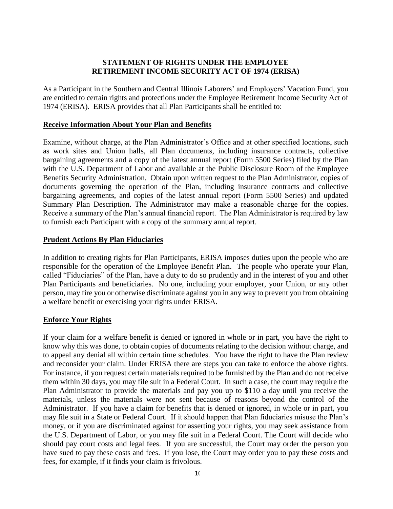#### **STATEMENT OF RIGHTS UNDER THE EMPLOYEE RETIREMENT INCOME SECURITY ACT OF 1974 (ERISA)**

As a Participant in the Southern and Central Illinois Laborers' and Employers' Vacation Fund, you are entitled to certain rights and protections under the Employee Retirement Income Security Act of 1974 (ERISA). ERISA provides that all Plan Participants shall be entitled to:

#### **Receive Information About Your Plan and Benefits**

Examine, without charge, at the Plan Administrator's Office and at other specified locations, such as work sites and Union halls, all Plan documents, including insurance contracts, collective bargaining agreements and a copy of the latest annual report (Form 5500 Series) filed by the Plan with the U.S. Department of Labor and available at the Public Disclosure Room of the Employee Benefits Security Administration. Obtain upon written request to the Plan Administrator, copies of documents governing the operation of the Plan, including insurance contracts and collective bargaining agreements, and copies of the latest annual report (Form 5500 Series) and updated Summary Plan Description. The Administrator may make a reasonable charge for the copies. Receive a summary of the Plan's annual financial report. The Plan Administrator is required by law to furnish each Participant with a copy of the summary annual report.

#### **Prudent Actions By Plan Fiduciaries**

In addition to creating rights for Plan Participants, ERISA imposes duties upon the people who are responsible for the operation of the Employee Benefit Plan. The people who operate your Plan, called "Fiduciaries" of the Plan, have a duty to do so prudently and in the interest of you and other Plan Participants and beneficiaries. No one, including your employer, your Union, or any other person, may fire you or otherwise discriminate against you in any way to prevent you from obtaining a welfare benefit or exercising your rights under ERISA.

# **Enforce Your Rights**

If your claim for a welfare benefit is denied or ignored in whole or in part, you have the right to know why this was done, to obtain copies of documents relating to the decision without charge, and to appeal any denial all within certain time schedules. You have the right to have the Plan review and reconsider your claim. Under ERISA there are steps you can take to enforce the above rights. For instance, if you request certain materials required to be furnished by the Plan and do not receive them within 30 days, you may file suit in a Federal Court. In such a case, the court may require the Plan Administrator to provide the materials and pay you up to \$110 a day until you receive the materials, unless the materials were not sent because of reasons beyond the control of the Administrator. If you have a claim for benefits that is denied or ignored, in whole or in part, you may file suit in a State or Federal Court. If it should happen that Plan fiduciaries misuse the Plan's money, or if you are discriminated against for asserting your rights, you may seek assistance from the U.S. Department of Labor, or you may file suit in a Federal Court. The Court will decide who should pay court costs and legal fees. If you are successful, the Court may order the person you have sued to pay these costs and fees. If you lose, the Court may order you to pay these costs and fees, for example, if it finds your claim is frivolous.